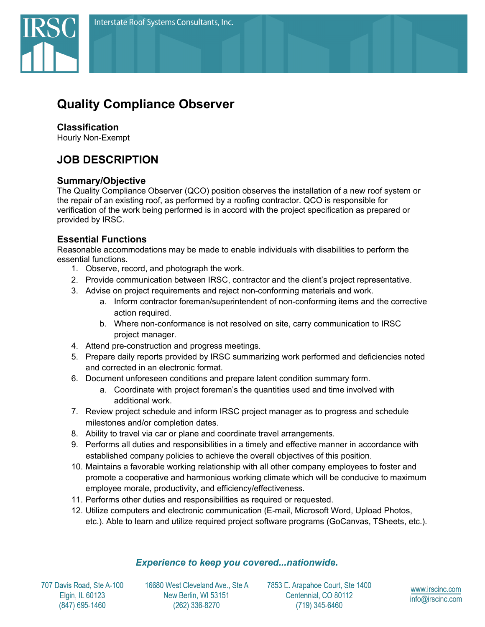

# **Quality Compliance Observer**

## **Classification**

Hourly Non-Exempt

## **JOB DESCRIPTION**

#### **Summary/Objective**

The Quality Compliance Observer (QCO) position observes the installation of a new roof system or the repair of an existing roof, as performed by a roofing contractor. QCO is responsible for verification of the work being performed is in accord with the project specification as prepared or provided by IRSC.

### **Essential Functions**

Reasonable accommodations may be made to enable individuals with disabilities to perform the essential functions.

- 1. Observe, record, and photograph the work.
- 2. Provide communication between IRSC, contractor and the client's project representative.
- 3. Advise on project requirements and reject non-conforming materials and work.
	- a. Inform contractor foreman/superintendent of non-conforming items and the corrective action required.
	- b. Where non-conformance is not resolved on site, carry communication to IRSC project manager.
- 4. Attend pre-construction and progress meetings.
- 5. Prepare daily reports provided by IRSC summarizing work performed and deficiencies noted and corrected in an electronic format.
- 6. Document unforeseen conditions and prepare latent condition summary form.
	- a. Coordinate with project foreman's the quantities used and time involved with additional work.
- 7. Review project schedule and inform IRSC project manager as to progress and schedule milestones and/or completion dates.
- 8. Ability to travel via car or plane and coordinate travel arrangements.
- 9. Performs all duties and responsibilities in a timely and effective manner in accordance with established company policies to achieve the overall objectives of this position.
- 10. Maintains a favorable working relationship with all other company employees to foster and promote a cooperative and harmonious working climate which will be conducive to maximum employee morale, productivity, and efficiency/effectiveness.
- 11. Performs other duties and responsibilities as required or requested.
- 12. Utilize computers and electronic communication (E-mail, Microsoft Word, Upload Photos, etc.). Able to learn and utilize required project software programs (GoCanvas, TSheets, etc.).

#### **Experience to keep you covered...nationwide.**

707 Davis Road, Ste A-100 Elgin, IL 60123 (847) 695-1460

16680 West Cleveland Ave., Ste A New Berlin, WI 53151 (262) 336-8270

7853 E. Arapahoe Court, Ste 1400 Centennial, CO 80112 (719) 345-6460

www.irscinc.com info@irscinc.com